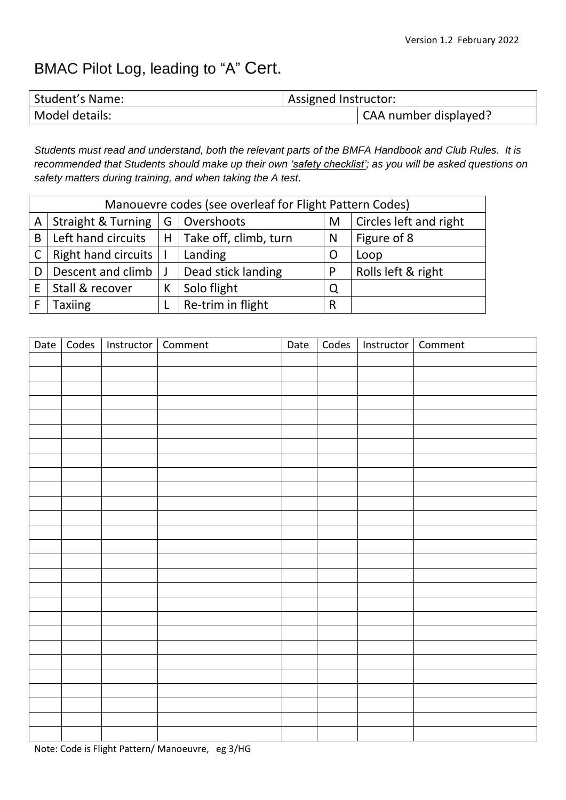# BMAC Pilot Log, leading to "A" Cert.

| <b>Student's Name:</b> | Assigned Instructor: |                       |
|------------------------|----------------------|-----------------------|
| Model details:         |                      | CAA number displayed? |

*Students must read and understand, both the relevant parts of the BMFA Handbook and Club Rules. It is recommended that Students should make up their own 'safety checklist'; as you will be asked questions on safety matters during training, and when taking the A test*.

| Manouevre codes (see overleaf for Flight Pattern Codes) |                               |   |                       |   |                        |  |  |
|---------------------------------------------------------|-------------------------------|---|-----------------------|---|------------------------|--|--|
| Α                                                       | <b>Straight &amp; Turning</b> | G | Overshoots            | M | Circles left and right |  |  |
| B                                                       | Left hand circuits            | Н | Take off, climb, turn | N | Figure of 8            |  |  |
|                                                         | <b>Right hand circuits</b>    |   | Landing               | O | Loop                   |  |  |
|                                                         | Descent and climb             |   | Dead stick landing    | P | Rolls left & right     |  |  |
|                                                         | Stall & recover               | К | Solo flight           | Q |                        |  |  |
|                                                         | Taxiing                       |   | Re-trim in flight     | R |                        |  |  |

| Date | Codes   Instructor   Comment | Date | Codes   Instructor   Comment |  |
|------|------------------------------|------|------------------------------|--|
|      |                              |      |                              |  |
|      |                              |      |                              |  |
|      |                              |      |                              |  |
|      |                              |      |                              |  |
|      |                              |      |                              |  |
|      |                              |      |                              |  |
|      |                              |      |                              |  |
|      |                              |      |                              |  |
|      |                              |      |                              |  |
|      |                              |      |                              |  |
|      |                              |      |                              |  |
|      |                              |      |                              |  |
|      |                              |      |                              |  |
|      |                              |      |                              |  |
|      |                              |      |                              |  |
|      |                              |      |                              |  |
|      |                              |      |                              |  |
|      |                              |      |                              |  |
|      |                              |      |                              |  |
|      |                              |      |                              |  |
|      |                              |      |                              |  |
|      |                              |      |                              |  |
|      |                              |      |                              |  |
|      |                              |      |                              |  |
|      |                              |      |                              |  |
|      |                              |      |                              |  |
|      |                              |      |                              |  |

Note: Code is Flight Pattern/ Manoeuvre, eg 3/HG